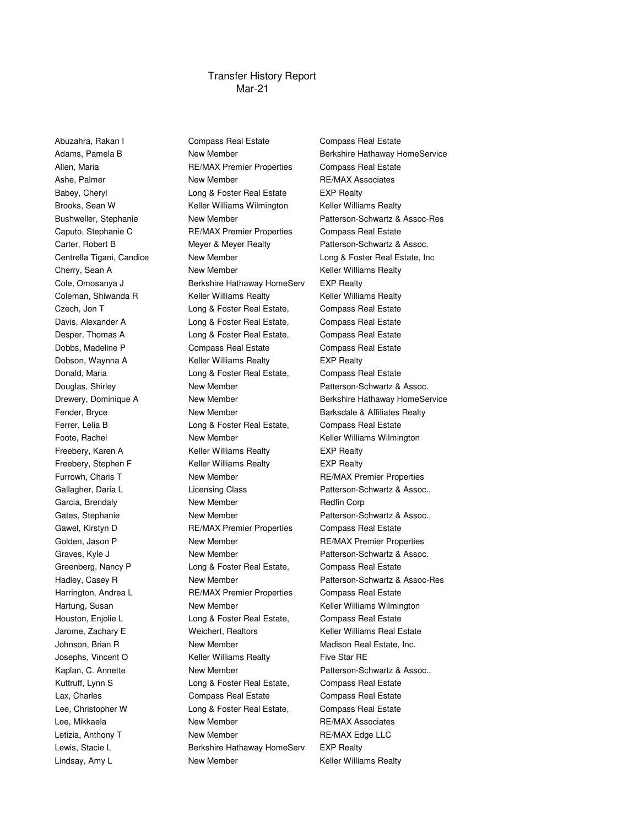## Mar-21 Transfer History Report

Abuzahra, Rakan I **Compass Real Estate** Compass Real Estate

Allen, Maria **RE/MAX Premier Properties** Compass Real Estate Ashe, Palmer **New Member** New Member **RE/MAX Associates** Babey, Cheryl **EXP** Realty Long & Foster Real Estate EXP Realty Brooks, Sean W Keller Williams Wilmington Keller Williams Realty Caputo, Stephanie C RE/MAX Premier Properties Compass Real Estate Carter, Robert B Meyer & Meyer Realty Patterson-Schwartz & Assoc. Cherry, Sean A **New Member Cherry, Sean A** New Member **Keller Williams Realty** Cole, Omosanya J Berkshire Hathaway HomeServ EXP Realty Coleman, Shiwanda R **Keller Williams Realty** Keller Williams Realty Czech, Jon T Long & Foster Real Estate, Compass Real Estate Davis, Alexander A **Long & Foster Real Estate,** Compass Real Estate Desper, Thomas A Long & Foster Real Estate, Compass Real Estate Dobbs, Madeline P Compass Real Estate Compass Real Estate Dobson, Waynna A **Keller Williams Realty** EXP Realty Donald, Maria **Long & Foster Real Estate,** Compass Real Estate Douglas, Shirley **New Member** New Member **Patterson-Schwartz & Assoc.** Fender, Bryce **New Member Realty** Barksdale & Affiliates Realty Ferrer, Lelia B **Long & Foster Real Estate,** Compass Real Estate Foote, Rachel **New Member** New Member Keller Williams Wilmington Freebery, Karen A **Keller Williams Realty** EXP Realty Freebery, Stephen F **Keller Williams Realty** EXP Realty Furrowh, Charis T **New Member** RE/MAX Premier Properties Gallagher, Daria L<br>
Licensing Class
Case Catterson-Schwartz & Assoc., Garcia, Brendaly **New Member** New Member **Redfin Corp.** Redfin Corp Gates, Stephanie **New Member** New Member Patterson-Schwartz & Assoc., Gawel, Kirstyn D **RE/MAX Premier Properties** Compass Real Estate Golden, Jason P **New Member New Member** RE/MAX Premier Properties Graves, Kyle J **New Member New Member** Patterson-Schwartz & Assoc. Greenberg, Nancy P **Long & Foster Real Estate,** Compass Real Estate Harrington, Andrea L **RE/MAX Premier Properties** Compass Real Estate Hartung, Susan **New Member** New Member Keller Williams Wilmington Houston, Enjolie L Long & Foster Real Estate, Compass Real Estate Jarome, Zachary E Weichert, Realtors Keller Williams Real Estate Johnson, Brian R **New Member** Member Madison Real Estate, Inc. Josephs, Vincent O **Keller Williams Realty** Five Star RE Kaplan, C. Annette **New Member** New Member Patterson-Schwartz & Assoc., Kuttruff, Lynn S Long & Foster Real Estate, Compass Real Estate Lax, Charles **Compass Real Estate** Compass Real Estate Compass Real Estate Lee, Christopher W Long & Foster Real Estate, Compass Real Estate Lee, Mikkaela **New Member** RE/MAX Associates Letizia, Anthony T **New Member** RE/MAX Edge LLC Lewis, Stacie L<br>
Berkshire Hathaway HomeServ EXP Realty Lindsay, Amy L **New Member** New Member Keller Williams Realty

Adams, Pamela B **New Member** Berkshire Hathaway HomeService Bushweller, Stephanie New Member Patterson-Schwartz & Assoc-Res Centrella Tigani, Candice Mew Member Long & Foster Real Estate, Inc Drewery, Dominique A **New Member** Berkshire Hathaway HomeService Hadley, Casey R New Member **New Member** Patterson-Schwartz & Assoc-Res